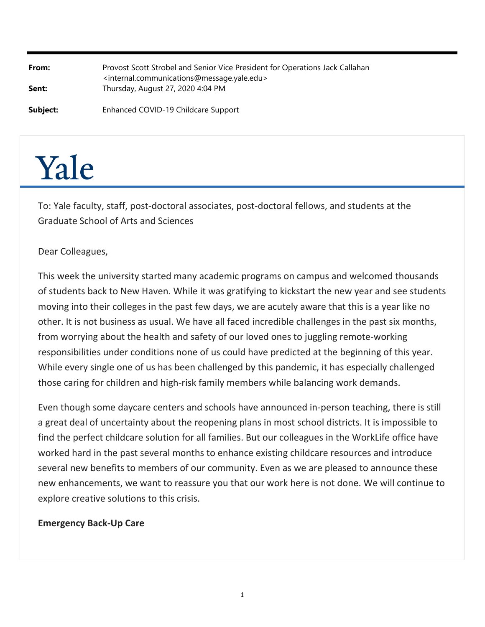| From:<br>Sent: | Provost Scott Strobel and Senior Vice President for Operations Jack Callahan<br><internal.communications@message.yale.edu><br/>Thursday, August 27, 2020 4:04 PM</internal.communications@message.yale.edu> |
|----------------|-------------------------------------------------------------------------------------------------------------------------------------------------------------------------------------------------------------|
| Subject:       | Enhanced COVID-19 Childcare Support                                                                                                                                                                         |

# Yale

To: Yale faculty, staff, post‐doctoral associates, post‐doctoral fellows, and students at the Graduate School of Arts and Sciences

## Dear Colleagues,

This week the university started many academic programs on campus and welcomed thousands of students back to New Haven. While it was gratifying to kickstart the new year and see students moving into their colleges in the past few days, we are acutely aware that this is a year like no other. It is not business as usual. We have all faced incredible challenges in the past six months, from worrying about the health and safety of our loved ones to juggling remote‐working responsibilities under conditions none of us could have predicted at the beginning of this year. While every single one of us has been challenged by this pandemic, it has especially challenged those caring for children and high‐risk family members while balancing work demands.

Even though some daycare centers and schools have announced in‐person teaching, there is still a great deal of uncertainty about the reopening plans in most school districts. It is impossible to find the perfect childcare solution for all families. But our colleagues in the WorkLife office have worked hard in the past several months to enhance existing childcare resources and introduce several new benefits to members of our community. Even as we are pleased to announce these new enhancements, we want to reassure you that our work here is not done. We will continue to explore creative solutions to this crisis.

#### **Emergency Back‐Up Care**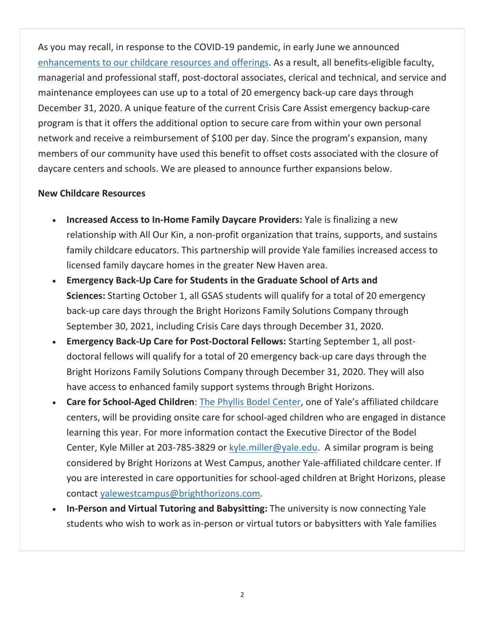As you may recall, in response to the COVID‐19 pandemic, in early June we announced enhancements to our childcare resources and offerings. As a result, all benefits-eligible faculty, managerial and professional staff, post‐doctoral associates, clerical and technical, and service and maintenance employees can use up to a total of 20 emergency back‐up care days through December 31, 2020. A unique feature of the current Crisis Care Assist emergency backup-care program is that it offers the additional option to secure care from within your own personal network and receive a reimbursement of \$100 per day. Since the program's expansion, many members of our community have used this benefit to offset costs associated with the closure of daycare centers and schools. We are pleased to announce further expansions below.

### **New Childcare Resources**

- **Increased Access to In-Home Family Daycare Providers:** Yale is finalizing a new relationship with All Our Kin, a non-profit organization that trains, supports, and sustains family childcare educators. This partnership will provide Yale families increased access to licensed family daycare homes in the greater New Haven area.
- **Emergency Back‐Up Care for Students in the Graduate School of Arts and Sciences:** Starting October 1, all GSAS students will qualify for a total of 20 emergency back‐up care days through the Bright Horizons Family Solutions Company through September 30, 2021, including Crisis Care days through December 31, 2020.
- **Emergency Back‐Up Care for Post‐Doctoral Fellows:** Starting September 1, all post‐ doctoral fellows will qualify for a total of 20 emergency back‐up care days through the Bright Horizons Family Solutions Company through December 31, 2020. They will also have access to enhanced family support systems through Bright Horizons.
- **Care for School‐Aged Children**: The Phyllis Bodel Center, one of Yale's affiliated childcare centers, will be providing onsite care for school‐aged children who are engaged in distance learning this year. For more information contact the Executive Director of the Bodel Center, Kyle Miller at 203-785-3829 or kyle.miller@yale.edu. A similar program is being considered by Bright Horizons at West Campus, another Yale‐affiliated childcare center. If you are interested in care opportunities for school‐aged children at Bright Horizons, please contact yalewestcampus@brighthorizons.com.
- **In-Person and Virtual Tutoring and Babysitting:** The university is now connecting Yale students who wish to work as in‐person or virtual tutors or babysitters with Yale families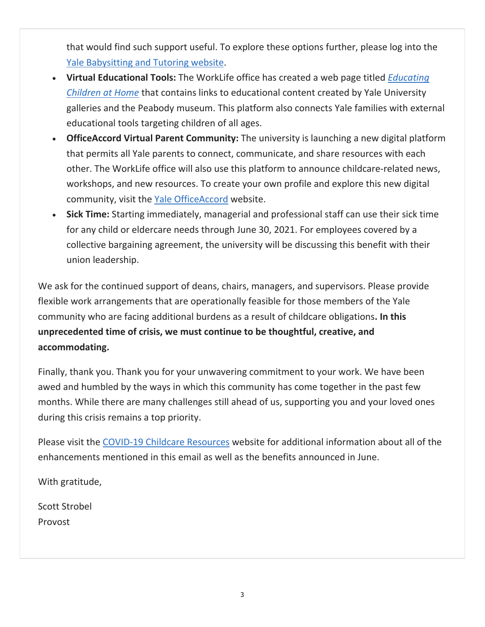that would find such support useful. To explore these options further, please log into the Yale Babysitting and Tutoring website.

- **Virtual Educational Tools:** The WorkLife office has created a web page titled *Educating Children at Home* that contains links to educational content created by Yale University galleries and the Peabody museum. This platform also connects Yale families with external educational tools targeting children of all ages.
- **OfficeAccord Virtual Parent Community:** The university is launching a new digital platform that permits all Yale parents to connect, communicate, and share resources with each other. The WorkLife office will also use this platform to announce childcare‐related news, workshops, and new resources. To create your own profile and explore this new digital community, visit the Yale OfficeAccord website.
- **Sick Time:** Starting immediately, managerial and professional staff can use their sick time for any child or eldercare needs through June 30, 2021. For employees covered by a collective bargaining agreement, the university will be discussing this benefit with their union leadership.

We ask for the continued support of deans, chairs, managers, and supervisors. Please provide flexible work arrangements that are operationally feasible for those members of the Yale community who are facing additional burdens as a result of childcare obligations**. In this unprecedented time of crisis, we must continue to be thoughtful, creative, and accommodating.**

Finally, thank you. Thank you for your unwavering commitment to your work. We have been awed and humbled by the ways in which this community has come together in the past few months. While there are many challenges still ahead of us, supporting you and your loved ones during this crisis remains a top priority.

Please visit the COVID‐19 Childcare Resources website for additional information about all of the enhancements mentioned in this email as well as the benefits announced in June.

With gratitude,

Scott Strobel Provost